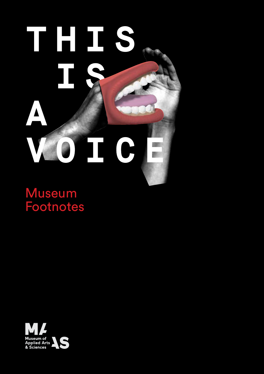# ī **Museum Footnotes This is a Voice** A TC

Museum Footnotes

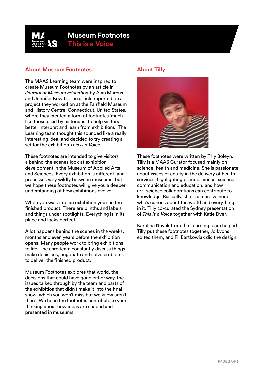

# **Museum Footnotes This is a Voice**

#### **About Museum Footnotes**

The MAAS Learning team were inspired to create Museum Footnotes by an article in *Journal of Museum Education* by Alan Marcus and Jennifer Kowitt. The article reported on a project they worked on at the Fairfield Museum and History Centre, Connecticut, United States, where they created a form of footnotes 'much like those used by historians, to help visitors better interpret and learn from exhibitions'. The Learning team thought this sounded like a really interesting idea, and decided to try creating a set for the exhibition *This is a Voice*.

These footnotes are intended to give visitors a behind-the-scenes look at exhibition development in the Museum of Applied Arts and Sciences. Every exhibition is different, and processes vary wildly between museums, but we hope these footnotes will give you a deeper understanding of how exhibitions evolve.

When you walk into an exhibition you see the finished product. There are plinths and labels and things under spotlights. Everything is in its place and looks perfect.

A lot happens behind the scenes in the weeks, months and even years before the exhibition opens. Many people work to bring exhibitions to life. The core team constantly discuss things, make decisions, negotiate and solve problems to deliver the finished product.

Museum Footnotes explores that world, the decisions that could have gone either way, the issues talked through by the team and parts of the exhibition that didn't make it into the final show, which you won't miss but we know aren't there. We hope the footnotes contribute to your thinking about how ideas are shaped and presented in museums.

## **About Tilly**



These footnotes were written by Tilly Boleyn. Tilly is a MAAS Curator focused mainly on science, health and medicine. She is passionate about issues of equity in the delivery of health services, highlighting pseudoscience, science communication and education, and how art–science collaborations can contribute to knowledge. Basically, she is a massive nerd who's curious about the world and everything in it. Tilly co-curated the Sydney presentation of *This is a Voice* together with Katie Dyer.

Karolina Novak from the Learning team helped Tilly put these footnotes together, Jo Lyons edited them, and Fil Bartkowiak did the design.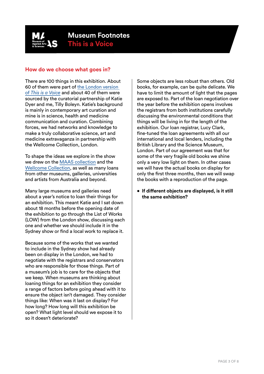

### **How do we choose what goes in?**

There are 100 things in this exhibition. About 60 of them were part of [the London version](https://wellcomecollection.org/thisisavoice)  of *[This is a Voice](https://wellcomecollection.org/thisisavoice)* and about 40 of them were sourced by the curatorial partnership of Katie Dyer and me, Tilly Boleyn. Katie's background is mainly in contemporary art curation and mine is in science, health and medicine communication and curation. Combining forces, we had networks and knowledge to make a truly collaborative science, art and medicine extravaganza in partnership with the Wellcome Collection, London.

To shape the ideas we explore in the show we drew on the [MAAS collection](https://collection.maas.museum/) and the [Wellcome Collection,](https://wellcomecollection.org/) as well as many loans from other museums, galleries, universities and artists from Australia and beyond.

Many large museums and galleries need about a year's notice to loan their things for an exhibition. This meant Katie and I sat down about 18 months before the opening date of the exhibition to go through the List of Works (LOW) from the London show, discussing each one and whether we should include it in the Sydney show or find a local work to replace it.

Because some of the works that we wanted to include in the Sydney show had already been on display in the London, we had to negotiate with the registrars and conservators who are responsible for those things. Part of a museum's job is to care for the objects that we keep. When museums are thinking about loaning things for an exhibition they consider a range of factors before going ahead with it to ensure the object isn't damaged. They consider things like: When was it last on display? For how long? How long will this exhibition be open? What light level should we expose it to so it doesn't deteriorate?

Some objects are less robust than others. Old books, for example, can be quite delicate. We have to limit the amount of light that the pages are exposed to. Part of the loan negotiation over the year before the exhibition opens involves the registrars from both institutions carefully discussing the environmental conditions that things will be living in for the length of the exhibition. Our loan registrar, Lucy Clark, fine-tuned the loan agreements with all our international and local lenders, including the British Library and the Science Museum, London. Part of our agreement was that for some of the very fragile old books we shine only a very low light on them. In other cases we will have the actual books on display for only the first three months, then we will swap the books with a reproduction of the page.

**• If different objects are displayed, is it still the same exhibition?**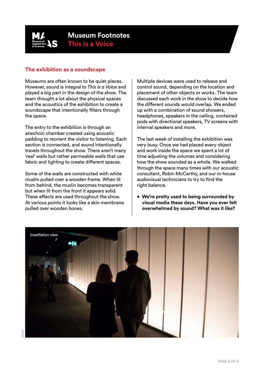

#### **The exhibition as a soundscape**

Museums are often known to be quiet places. However, sound is integral to *This is a Voice* and played a big part in the design of the show. The team thought a lot about the physical spaces and the acoustics of the exhibition to create a soundscape that intentionally filters through the space.

The entry to the exhibition is through an anechoic chamber created using acoustic padding to reorient the visitor to listening. Each section is connected, and sound intentionally travels throughout the show. There aren't many 'real' walls but rather permeable walls that use fabric and lighting to create different spaces.

Some of the walls are constructed with white muslin pulled over a wooden frame. When lit from behind, the muslin becomes transparent but when lit from the front it appears solid. These effects are used throughout the show. At various points it looks like a skin membrane pulled over wooden bones.

Multiple devices were used to release and control sound, depending on the location and placement of other objects or works. The team discussed each work in the show to decide how the different sounds would overlap. We ended up with a combination of sound showers, headphones, speakers in the ceiling, contained pods with directional speakers, TV screens with internal speakers and more.

The last week of installing the exhibition was very busy. Once we had placed every object and work inside the space we spent a lot of time adjusting the volumes and considering how the show sounded as a whole. We walked through the space many times with our acoustic consultant, Robin McCarthy, and our in-house audiovisual technicians to try to find the right balance.

**• We're pretty used to being surrounded by visual media these days. Have you ever felt overwhelmed by sound? What was it like?**

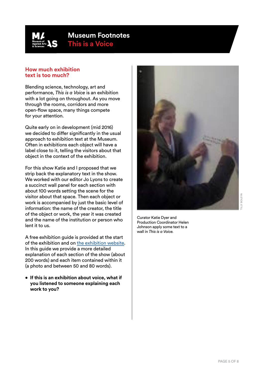

# **Museum Footnotes This is a Voice**

#### **How much exhibition text is too much?**

Blending science, technology, art and performance, *This is a Voice* is an exhibition with a lot going on throughout. As you move through the rooms, corridors and more open-flow space, many things compete for your attention.

Quite early on in development (mid 2016) we decided to differ significantly in the usual approach to exhibition text at the Museum. Often in exhibitions each object will have a label close to it, telling the visitors about that object in the context of the exhibition.

For this show Katie and I proposed that we strip back the explanatory text in the show. We worked with our editor Jo Lyons to create a succinct wall panel for each section with about 100 words setting the scene for the visitor about that space. Then each object or work is accompanied by just the basic level of information: the name of the creator, the title of the object or work, the year it was created and the name of the institution or person who lent it to us.

A free exhibition guide is provided at the start of the exhibition and on [the exhibition website.](https://maas.museum/event/this-is-a-voice/) In this guide we provide a more detailed explanation of each section of the show (about 200 words) and each item contained within it (a photo and between 50 and 80 words).

**• If this is an exhibition about voice, what if you listened to someone explaining each work to you?**



Curator Katie Dyer and Production Coordinator Helen Johnson apply some text to a wall in *This is a Voice.*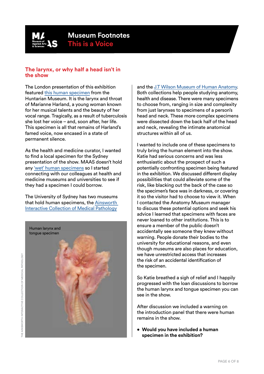

## **The larynx, or why half a head isn't in the show**

The London presentation of this exhibition featured [this human specimen](http://surgicat.rcseng.ac.uk/Details/collect/5006) from the Huntarian Museum. It is the larynx and throat of Marianne Harland, a young woman known for her musical talents and the beauty of her vocal range. Tragically, as a result of tuberculosis she lost her voice – and, soon after, her life. This specimen is all that remains of Harland's famed voice, now encased in a state of permanent silence.

As the health and medicine curator, I wanted to find a local specimen for the Sydney presentation of the show. MAAS doesn't hold any ['wet' human specimens](https://www.amnh.org/our-research/natural-science-collections-conservation/general-conservation/health-safety/fluid-preserved-specimens/) so I started connecting with our colleagues at health and medicine museums and universities to see if they had a specimen I could borrow.

The University of Sydney has two museums that hold human specimens, the [Ainsworth](http://sydney.edu.au/medicine/pathology/museum/)  [Interactive Collection of Medical Pathology](http://sydney.edu.au/medicine/pathology/museum/) 



and the [J.T Wilson Museum of Human Anatomy](http://sydney.edu.au/medicine/anatomy/museums/wilson.php). Both collections help people studying anatomy, health and disease. There were many specimens to choose from, ranging in size and complexity from just larynxes to specimens of a person's head and neck. These more complex specimens were dissected down the back half of the head and neck, revealing the intimate anatomical structures within all of us.

I wanted to include one of these specimens to truly bring the human element into the show. Katie had serious concerns and was less enthusiastic about the prospect of such a potentially confronting specimen being featured in the exhibition. We discussed different display possibilities that could alleviate some of the risk, like blacking out the back of the case so the specimen's face was in darkness, or covering it so the visitor had to choose to view it. When I contacted the Anatomy Museum manager to discuss these potential options and seek his advice I learned that specimens with faces are never loaned to other institutions. This is to ensure a member of the public doesn't accidentally see someone they knew without warning. People donate their bodies to the university for educational reasons, and even though museums are also places for education, we have unrestricted access that increases the risk of an accidental identification of the specimen.

So Katie breathed a sigh of relief and I happily progressed with the loan discussions to borrow the human larynx and tongue specimen you can see in the show.

After discussion we included a warning on the introduction panel that there were human remains in the show.

**• Would you have included a human specimen in the exhibition?**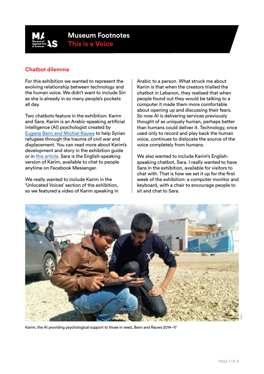

## **Chatbot dilemma**

For this exhibition we wanted to represent the evolving relationship between technology and the human voice. We didn't want to include Siri as she is already in so many people's pockets all day.

Two chatbots feature in the exhibition: Karim and Sara. Karim is an Arabic-speaking artificial intelligence (AI) psychologist created by [Eugene Bann and Michiel Rauws](https://x2.ai/) to help Syrian refugees through the trauma of civil war and displacement. You can read more about Karim's development and story in the exhibition guide or in [this article](https://www.newyorker.com/tech/elements/the-chatbot-will-see-you-now). Sara is the English-speaking version of Karim, available to chat to people anytime on Facebook Messenger.

We really wanted to include Karim in the 'Unlocated Voices' section of the exhibition, so we featured a video of Karim speaking in

Arabic to a person. What struck me about Karim is that when the creators trialled the chatbot in Lebanon, they realised that when people found out they would be talking to a computer it made them more comfortable about opening up and discussing their fears. So now AI is delivering services previously thought of as uniquely human, perhaps better than humans could deliver it. Technology, once used only to record and play back the human voice, continues to dislocate the source of the voice completely from humans.

We also wanted to include Karim's Englishspeaking chatbot, Sara. I really wanted to have Sara in the exhibition, available for visitors to chat with. That is how we set it up for the first week of the exhibition: a computer monitor and keyboard, with a chair to encourage people to sit and chat to Sara.



Karim, the AI providing psychological support to those in need, Bann and Rauws 2014–17